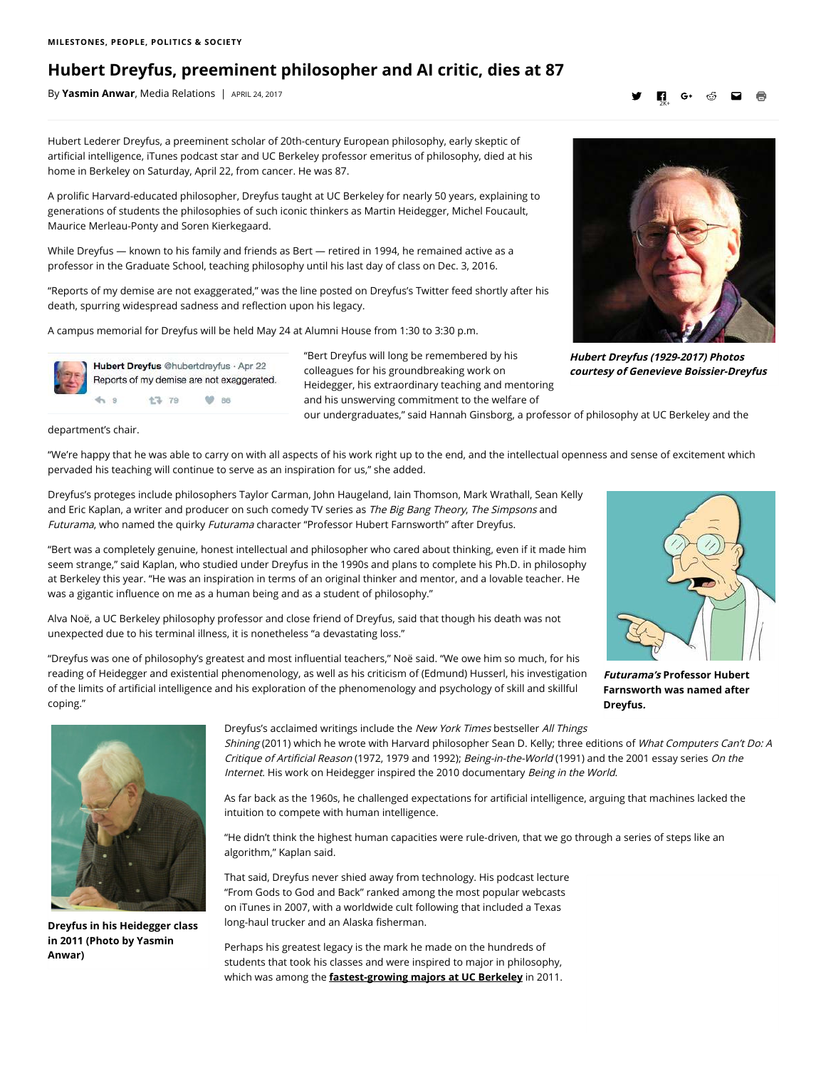## **Hubert Dreyfus, preeminent philosopher and AI critic, dies at 87**

By **[Yasmin Anwar](mailto:yanwar@berkeley.edu?subject=RE:%20Hubert%20Dreyfus,%20preeminent%20philosopher%20and%20AI%20critic,%20dies%20at%2087)**, Media Relations | APRIL 24, 2017

## УП 2K+

Hubert Lederer Dreyfus, a preeminent scholar of 20th-century European philosophy, early skeptic of artificial intelligence, iTunes podcast star and UC Berkeley professor emeritus of philosophy, died at his home in Berkeley on Saturday, April 22, from cancer. He was 87.

A prolific Harvard-educated philosopher, Dreyfus taught at UC Berkeley for nearly 50 years, explaining to generations of students the philosophies of such iconic thinkers as Martin Heidegger, Michel Foucault, Maurice Merleau-Ponty and Soren Kierkegaard.

While Dreyfus — known to his family and friends as Bert — retired in 1994, he remained active as a professor in the Graduate School, teaching philosophy until his last day of class on Dec. 3, 2016.

"Reports of my demise are not exaggerated," was the line posted on Dreyfus's Twitter feed shortly after his death, spurring widespread sadness and reflection upon his legacy.

A campus memorial for Dreyfus will be held May 24 at Alumni House from 1:30 to 3:30 p.m.



Hubert Dreyfus @hubertdreyfus · Apr 22 Reports of my demise are not exaggerated. ó. 17 79 **60 86** 

"Bert Dreyfus will long be remembered by his colleagues for his groundbreaking work on Heidegger, his extraordinary teaching and mentoring and his unswerving commitment to the welfare of

our undergraduates," said Hannah Ginsborg, a professor of philosophy at UC Berkeley and the

department's chair.

"We're happy that he was able to carry on with all aspects of his work right up to the end, and the intellectual openness and sense of excitement which pervaded his teaching will continue to serve as an inspiration for us," she added.

Dreyfus's proteges include philosophers Taylor Carman, John Haugeland, Iain Thomson, Mark Wrathall, Sean Kelly and Eric Kaplan, a writer and producer on such comedy TV series as The Big Bang Theory, The Simpsons and Futurama, who named the quirky Futurama character "Professor Hubert Farnsworth" after Dreyfus.

"Bert was a completely genuine, honest intellectual and philosopher who cared about thinking, even if it made him seem strange," said Kaplan, who studied under Dreyfus in the 1990s and plans to complete his Ph.D. in philosophy at Berkeley this year. "He was an inspiration in terms of an original thinker and mentor, and a lovable teacher. He was a gigantic influence on me as a human being and as a student of philosophy."

Alva Noë, a UC Berkeley philosophy professor and close friend of Dreyfus, said that though his death was not unexpected due to his terminal illness, it is nonetheless "a devastating loss."

"Dreyfus was one of philosophy's greatest and most influential teachers," Noë said. "We owe him so much, for his reading of Heidegger and existential phenomenology, as well as his criticism of (Edmund) Husserl, his investigation of the limits of articial intelligence and his exploration of the phenomenology and psychology of skill and skillful coping."



**Futurama's Professor Hubert Farnsworth was named after Dreyfus.**



**Dreyfus in his Heidegger class in 2011 (Photo by Yasmin Anwar)**

Dreyfus's acclaimed writings include the New York Times bestseller All Things

Shining (2011) which he wrote with Harvard philosopher Sean D. Kelly; three editions of What Computers Can't Do: A Critique of Artificial Reason (1972, 1979 and 1992); Being-in-the-World (1991) and the 2001 essay series On the Internet. His work on Heidegger inspired the 2010 documentary Being in the World.

As far back as the 1960s, he challenged expectations for articial intelligence, arguing that machines lacked the intuition to compete with human intelligence.

"He didn't think the highest human capacities were rule-driven, that we go through a series of steps like an algorithm," Kaplan said.

That said, Dreyfus never shied away from technology. His podcast lecture "From Gods to God and Back" ranked among the most popular webcasts on iTunes in 2007, with a worldwide cult following that included a Texas long-haul trucker and an Alaska fisherman.

Perhaps his greatest legacy is the mark he made on the hundreds of students that took his classes and were inspired to major in philosophy, which was among the **[fastest-growing majors at UC Berkeley](http://news.berkeley.edu/2011/05/10/philosopher-majors/)** in 2011.



**Hubert Dreyfus (1929-2017) Photos courtesy of Genevieve Boissier-Dreyfus**